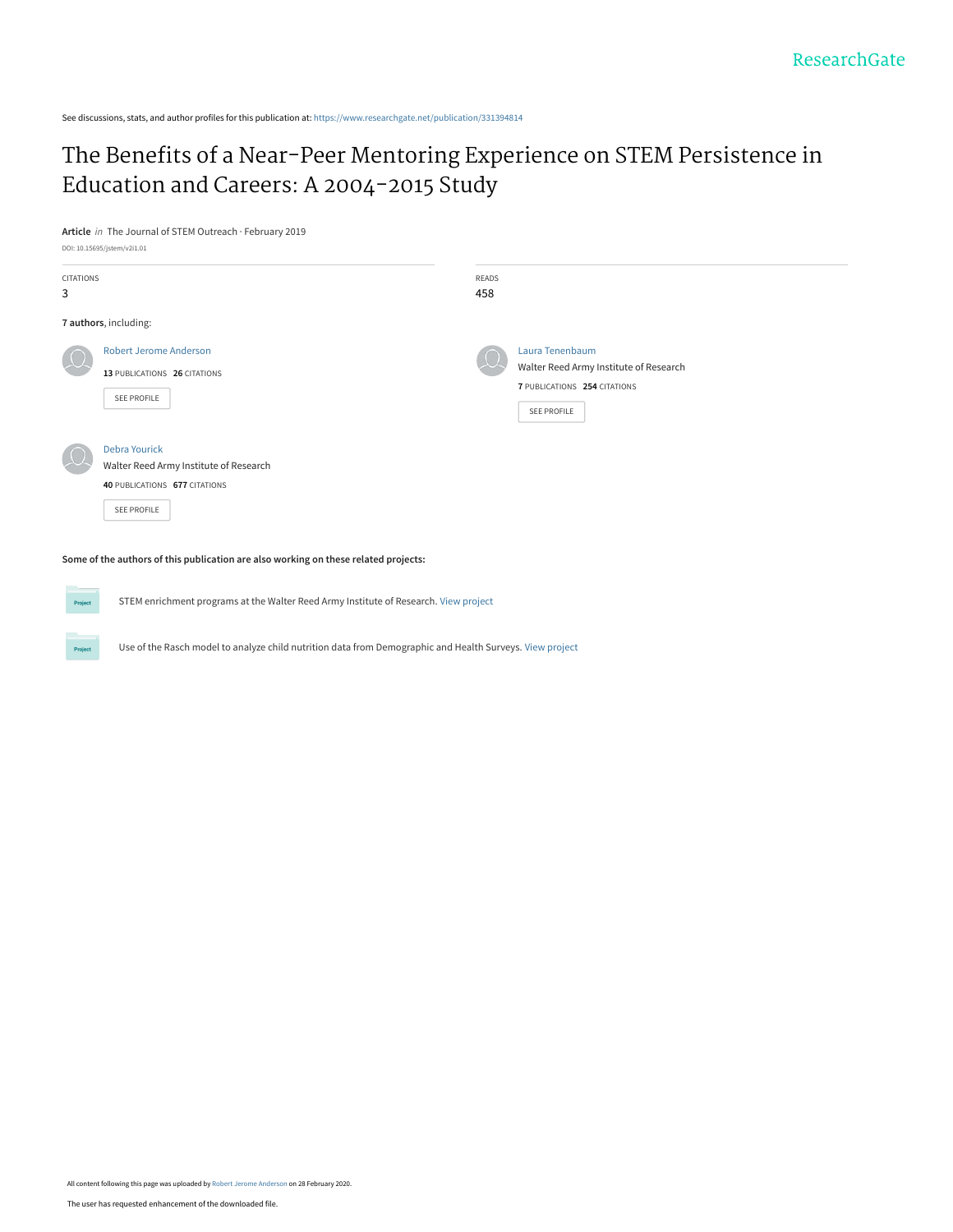See discussions, stats, and author profiles for this publication at: [https://www.researchgate.net/publication/331394814](https://www.researchgate.net/publication/331394814_The_Benefits_of_a_Near-Peer_Mentoring_Experience_on_STEM_Persistence_in_Education_and_Careers_A_2004-2015_Study?enrichId=rgreq-fe0f473aed879db78f5d70117ff8a263-XXX&enrichSource=Y292ZXJQYWdlOzMzMTM5NDgxNDtBUzo4NjM1NDc2MDA5NTc0NDBAMTU4Mjg5NzIwMDEzMQ%3D%3D&el=1_x_2&_esc=publicationCoverPdf)

## [The Benefits of a Near-Peer Mentoring Experience on STEM Persistence in](https://www.researchgate.net/publication/331394814_The_Benefits_of_a_Near-Peer_Mentoring_Experience_on_STEM_Persistence_in_Education_and_Careers_A_2004-2015_Study?enrichId=rgreq-fe0f473aed879db78f5d70117ff8a263-XXX&enrichSource=Y292ZXJQYWdlOzMzMTM5NDgxNDtBUzo4NjM1NDc2MDA5NTc0NDBAMTU4Mjg5NzIwMDEzMQ%3D%3D&el=1_x_3&_esc=publicationCoverPdf) Education and Careers: A 2004-2015 Study

**Article** in The Journal of STEM Outreach · February 2019

DOI: 10.15695/jstem/v2i1.01

Project

| CITATIONS |                                        | READS |                                        |
|-----------|----------------------------------------|-------|----------------------------------------|
| 3         |                                        | 458   |                                        |
|           | 7 authors, including:                  |       |                                        |
|           | <b>Robert Jerome Anderson</b>          |       | Laura Tenenbaum                        |
|           | 13 PUBLICATIONS 26 CITATIONS           |       | Walter Reed Army Institute of Research |
|           |                                        |       | 7 PUBLICATIONS 254 CITATIONS           |
|           | SEE PROFILE                            |       | SEE PROFILE                            |
|           | <b>Debra Yourick</b>                   |       |                                        |
|           | Walter Reed Army Institute of Research |       |                                        |
|           | 40 PUBLICATIONS 677 CITATIONS          |       |                                        |
|           | SEE PROFILE                            |       |                                        |
|           |                                        |       |                                        |

**Some of the authors of this publication are also working on these related projects:**

**Project** STEM enrichment programs at the Walter Reed Army Institute of Research. [View project](https://www.researchgate.net/project/STEM-enrichment-programs-at-the-Walter-Reed-Army-Institute-of-Research?enrichId=rgreq-fe0f473aed879db78f5d70117ff8a263-XXX&enrichSource=Y292ZXJQYWdlOzMzMTM5NDgxNDtBUzo4NjM1NDc2MDA5NTc0NDBAMTU4Mjg5NzIwMDEzMQ%3D%3D&el=1_x_9&_esc=publicationCoverPdf)

Use of the Rasch model to analyze child nutrition data from Demographic and Health Surveys. [View project](https://www.researchgate.net/project/Use-of-the-Rasch-model-to-analyze-child-nutrition-data-from-Demographic-and-Health-Surveys?enrichId=rgreq-fe0f473aed879db78f5d70117ff8a263-XXX&enrichSource=Y292ZXJQYWdlOzMzMTM5NDgxNDtBUzo4NjM1NDc2MDA5NTc0NDBAMTU4Mjg5NzIwMDEzMQ%3D%3D&el=1_x_9&_esc=publicationCoverPdf)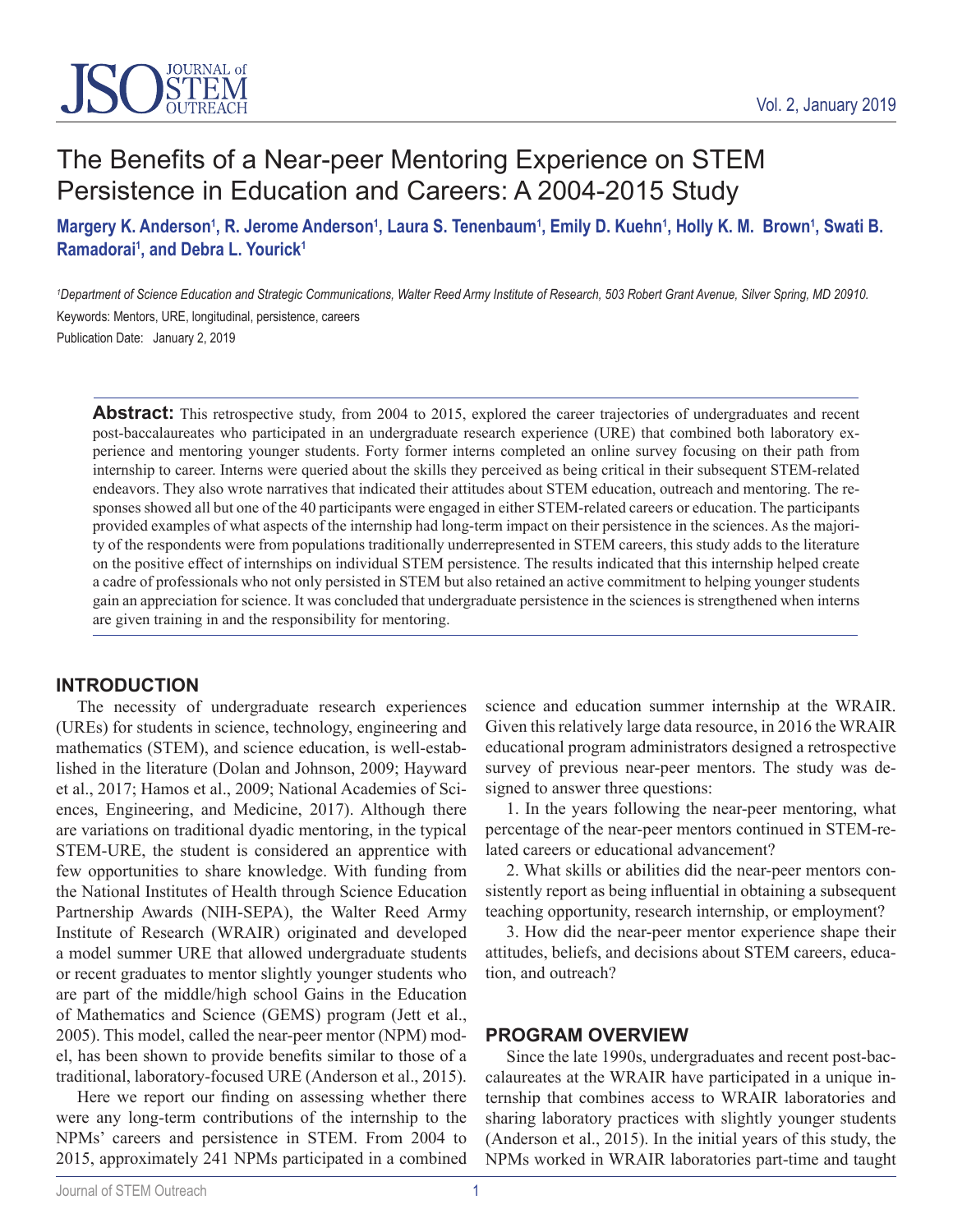

# The Benefits of a Near-peer Mentoring Experience on STEM Persistence in Education and Careers: A 2004-2015 Study

## Margery K. Anderson<sup>1</sup>, R. Jerome Anderson<sup>1</sup>, Laura S. Tenenbaum<sup>1</sup>, Emily D. Kuehn<sup>1</sup>, Holly K. M. Brown<sup>1</sup>, Swati B. Ramadorai<sup>1</sup>, and Debra L. Yourick<sup>1</sup>

<sup>1</sup>Department of Science Education and Strategic Communications, Walter Reed Army Institute of Research, 503 Robert Grant Avenue, Silver Spring, MD 20910. Keywords: Mentors, URE, longitudinal, persistence, careers Publication Date: January 2, 2019

Abstract: This retrospective study, from 2004 to 2015, explored the career trajectories of undergraduates and recent post-baccalaureates who participated in an undergraduate research experience (URE) that combined both laboratory experience and mentoring younger students. Forty former interns completed an online survey focusing on their path from internship to career. Interns were queried about the skills they perceived as being critical in their subsequent STEM-related endeavors. They also wrote narratives that indicated their attitudes about STEM education, outreach and mentoring. The responses showed all but one of the 40 participants were engaged in either STEM-related careers or education. The participants provided examples of what aspects of the internship had long-term impact on their persistence in the sciences. As the majority of the respondents were from populations traditionally underrepresented in STEM careers, this study adds to the literature on the positive effect of internships on individual STEM persistence. The results indicated that this internship helped create a cadre of professionals who not only persisted in STEM but also retained an active commitment to helping younger students gain an appreciation for science. It was concluded that undergraduate persistence in the sciences is strengthened when interns are given training in and the responsibility for mentoring.

#### **INTRODUCTION**

The necessity of undergraduate research experiences (UREs) for students in science, technology, engineering and mathematics (STEM), and science education, is well-established in the literature (Dolan and Johnson, 2009; Hayward et al., 2017; Hamos et al., 2009; National Academies of Sciences, Engineering, and Medicine, 2017). Although there are variations on traditional dyadic mentoring, in the typical STEM-URE, the student is considered an apprentice with few opportunities to share knowledge. With funding from the National Institutes of Health through Science Education Partnership Awards (NIH-SEPA), the Walter Reed Army Institute of Research (WRAIR) originated and developed a model summer URE that allowed undergraduate students or recent graduates to mentor slightly younger students who are part of the middle/high school Gains in the Education of Mathematics and Science (GEMS) program (Jett et al., 2005). This model, called the near-peer mentor (NPM) model, has been shown to provide benefits similar to those of a traditional, laboratory-focused URE (Anderson et al., 2015).

Here we report our finding on assessing whether there were any long-term contributions of the internship to the NPMs' careers and persistence in STEM. From 2004 to 2015, approximately 241 NPMs participated in a combined science and education summer internship at the WRAIR. Given this relatively large data resource, in 2016 the WRAIR educational program administrators designed a retrospective survey of previous near-peer mentors. The study was designed to answer three questions:

1. In the years following the near-peer mentoring, what percentage of the near-peer mentors continued in STEM-related careers or educational advancement?

2. What skills or abilities did the near-peer mentors consistently report as being influential in obtaining a subsequent teaching opportunity, research internship, or employment?

3. How did the near-peer mentor experience shape their attitudes, beliefs, and decisions about STEM careers, education, and outreach?

#### **PROGRAM OVERVIEW**

Since the late 1990s, undergraduates and recent post-baccalaureates at the WRAIR have participated in a unique internship that combines access to WRAIR laboratories and sharing laboratory practices with slightly younger students (Anderson et al., 2015). In the initial years of this study, the NPMs worked in WRAIR laboratories part-time and taught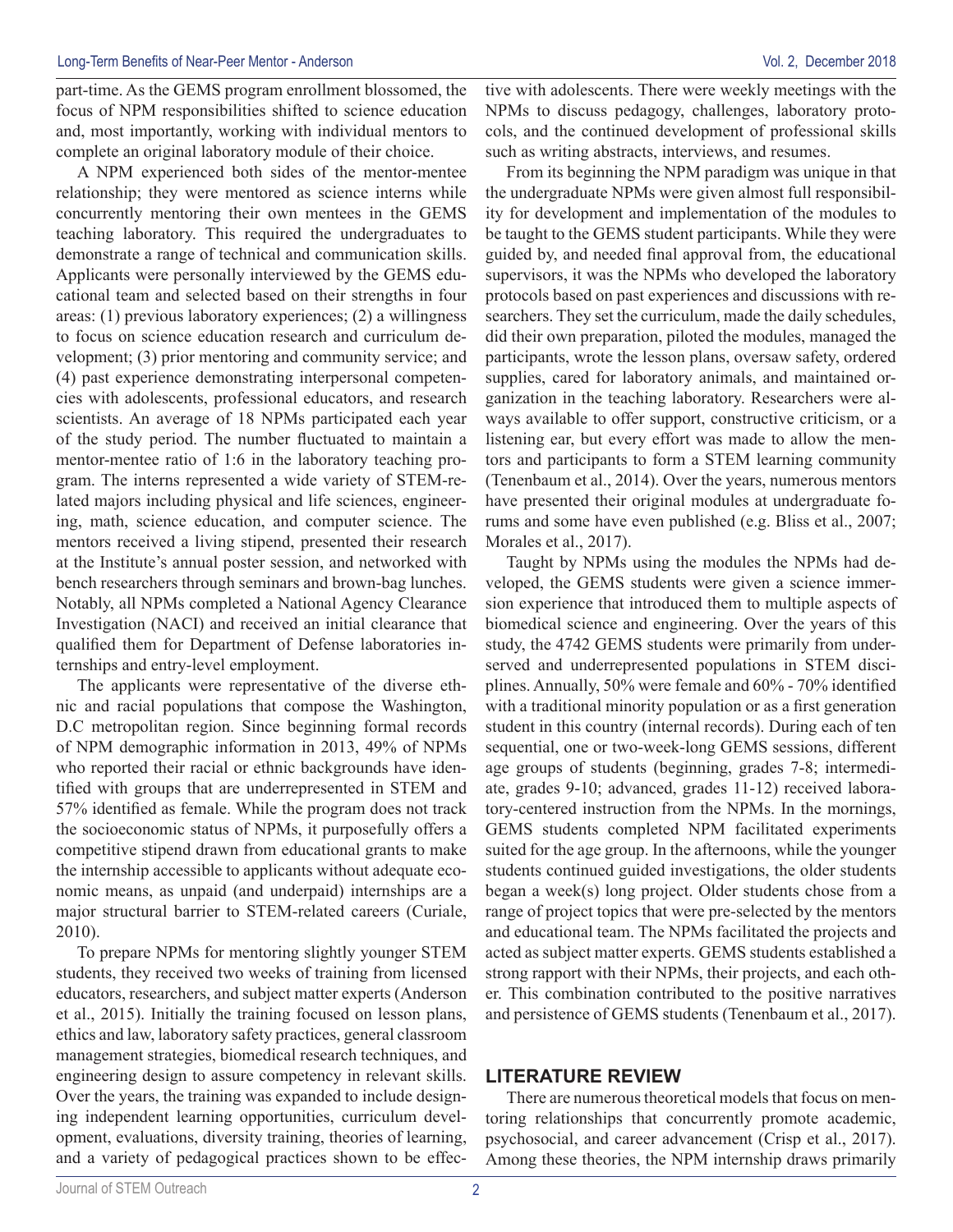part-time. As the GEMS program enrollment blossomed, the focus of NPM responsibilities shifted to science education and, most importantly, working with individual mentors to complete an original laboratory module of their choice.

A NPM experienced both sides of the mentor-mentee relationship; they were mentored as science interns while concurrently mentoring their own mentees in the GEMS teaching laboratory. This required the undergraduates to demonstrate a range of technical and communication skills. Applicants were personally interviewed by the GEMS educational team and selected based on their strengths in four areas: (1) previous laboratory experiences; (2) a willingness to focus on science education research and curriculum development; (3) prior mentoring and community service; and (4) past experience demonstrating interpersonal competencies with adolescents, professional educators, and research scientists. An average of 18 NPMs participated each year of the study period. The number fluctuated to maintain a mentor-mentee ratio of 1:6 in the laboratory teaching program. The interns represented a wide variety of STEM-related majors including physical and life sciences, engineering, math, science education, and computer science. The mentors received a living stipend, presented their research at the Institute's annual poster session, and networked with bench researchers through seminars and brown-bag lunches. Notably, all NPMs completed a National Agency Clearance Investigation (NACI) and received an initial clearance that qualified them for Department of Defense laboratories internships and entry-level employment.

The applicants were representative of the diverse ethnic and racial populations that compose the Washington, D.C metropolitan region. Since beginning formal records of NPM demographic information in 2013, 49% of NPMs who reported their racial or ethnic backgrounds have identified with groups that are underrepresented in STEM and 57% identified as female. While the program does not track the socioeconomic status of NPMs, it purposefully offers a competitive stipend drawn from educational grants to make the internship accessible to applicants without adequate economic means, as unpaid (and underpaid) internships are a major structural barrier to STEM-related careers (Curiale, 2010).

To prepare NPMs for mentoring slightly younger STEM students, they received two weeks of training from licensed educators, researchers, and subject matter experts (Anderson et al., 2015). Initially the training focused on lesson plans, ethics and law, laboratory safety practices, general classroom management strategies, biomedical research techniques, and engineering design to assure competency in relevant skills. Over the years, the training was expanded to include designing independent learning opportunities, curriculum development, evaluations, diversity training, theories of learning, and a variety of pedagogical practices shown to be effective with adolescents. There were weekly meetings with the NPMs to discuss pedagogy, challenges, laboratory protocols, and the continued development of professional skills such as writing abstracts, interviews, and resumes.

From its beginning the NPM paradigm was unique in that the undergraduate NPMs were given almost full responsibility for development and implementation of the modules to be taught to the GEMS student participants. While they were guided by, and needed final approval from, the educational supervisors, it was the NPMs who developed the laboratory protocols based on past experiences and discussions with researchers. They set the curriculum, made the daily schedules, did their own preparation, piloted the modules, managed the participants, wrote the lesson plans, oversaw safety, ordered supplies, cared for laboratory animals, and maintained organization in the teaching laboratory. Researchers were always available to offer support, constructive criticism, or a listening ear, but every effort was made to allow the mentors and participants to form a STEM learning community (Tenenbaum et al., 2014). Over the years, numerous mentors have presented their original modules at undergraduate forums and some have even published (e.g. Bliss et al., 2007; Morales et al., 2017).

Taught by NPMs using the modules the NPMs had developed, the GEMS students were given a science immersion experience that introduced them to multiple aspects of biomedical science and engineering. Over the years of this study, the 4742 GEMS students were primarily from underserved and underrepresented populations in STEM disciplines. Annually, 50% were female and 60% - 70% identified with a traditional minority population or as a first generation student in this country (internal records). During each of ten sequential, one or two-week-long GEMS sessions, different age groups of students (beginning, grades 7-8; intermediate, grades 9-10; advanced, grades 11-12) received laboratory-centered instruction from the NPMs. In the mornings, GEMS students completed NPM facilitated experiments suited for the age group. In the afternoons, while the younger students continued guided investigations, the older students began a week(s) long project. Older students chose from a range of project topics that were pre-selected by the mentors and educational team. The NPMs facilitated the projects and acted as subject matter experts. GEMS students established a strong rapport with their NPMs, their projects, and each other. This combination contributed to the positive narratives and persistence of GEMS students (Tenenbaum et al., 2017).

#### **LITERATURE REVIEW**

There are numerous theoretical models that focus on mentoring relationships that concurrently promote academic, psychosocial, and career advancement (Crisp et al., 2017). Among these theories, the NPM internship draws primarily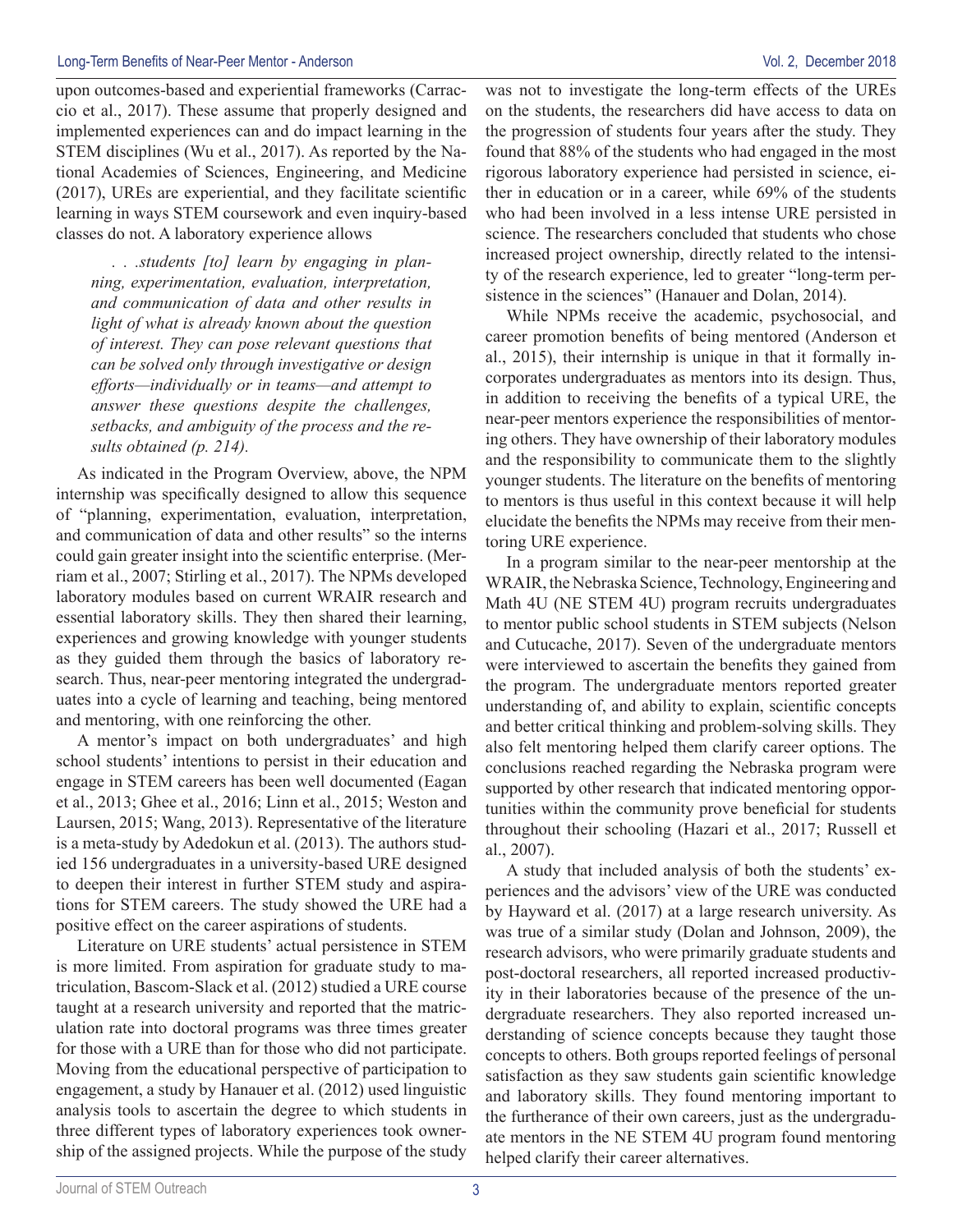upon outcomes-based and experiential frameworks (Carraccio et al., 2017). These assume that properly designed and implemented experiences can and do impact learning in the STEM disciplines (Wu et al., 2017). As reported by the National Academies of Sciences, Engineering, and Medicine (2017), UREs are experiential, and they facilitate scientific learning in ways STEM coursework and even inquiry-based classes do not. A laboratory experience allows

*. . .students [to] learn by engaging in planning, experimentation, evaluation, interpretation, and communication of data and other results in light of what is already known about the question of interest. They can pose relevant questions that can be solved only through investigative or design efforts—individually or in teams—and attempt to answer these questions despite the challenges, setbacks, and ambiguity of the process and the results obtained (p. 214).*

As indicated in the Program Overview, above, the NPM internship was specifically designed to allow this sequence of "planning, experimentation, evaluation, interpretation, and communication of data and other results" so the interns could gain greater insight into the scientific enterprise. (Merriam et al., 2007; Stirling et al., 2017). The NPMs developed laboratory modules based on current WRAIR research and essential laboratory skills. They then shared their learning, experiences and growing knowledge with younger students as they guided them through the basics of laboratory research. Thus, near-peer mentoring integrated the undergraduates into a cycle of learning and teaching, being mentored and mentoring, with one reinforcing the other.

A mentor's impact on both undergraduates' and high school students' intentions to persist in their education and engage in STEM careers has been well documented (Eagan et al., 2013; Ghee et al., 2016; Linn et al., 2015; Weston and Laursen, 2015; Wang, 2013). Representative of the literature is a meta-study by Adedokun et al. (2013). The authors studied 156 undergraduates in a university-based URE designed to deepen their interest in further STEM study and aspirations for STEM careers. The study showed the URE had a positive effect on the career aspirations of students.

Literature on URE students' actual persistence in STEM is more limited. From aspiration for graduate study to matriculation, Bascom-Slack et al. (2012) studied a URE course taught at a research university and reported that the matriculation rate into doctoral programs was three times greater for those with a URE than for those who did not participate. Moving from the educational perspective of participation to engagement, a study by Hanauer et al. (2012) used linguistic analysis tools to ascertain the degree to which students in three different types of laboratory experiences took ownership of the assigned projects. While the purpose of the study was not to investigate the long-term effects of the UREs on the students, the researchers did have access to data on the progression of students four years after the study. They found that 88% of the students who had engaged in the most rigorous laboratory experience had persisted in science, either in education or in a career, while 69% of the students who had been involved in a less intense URE persisted in science. The researchers concluded that students who chose increased project ownership, directly related to the intensity of the research experience, led to greater "long-term persistence in the sciences" (Hanauer and Dolan, 2014).

While NPMs receive the academic, psychosocial, and career promotion benefits of being mentored (Anderson et al., 2015), their internship is unique in that it formally incorporates undergraduates as mentors into its design. Thus, in addition to receiving the benefits of a typical URE, the near-peer mentors experience the responsibilities of mentoring others. They have ownership of their laboratory modules and the responsibility to communicate them to the slightly younger students. The literature on the benefits of mentoring to mentors is thus useful in this context because it will help elucidate the benefits the NPMs may receive from their mentoring URE experience.

In a program similar to the near-peer mentorship at the WRAIR, the Nebraska Science, Technology, Engineering and Math 4U (NE STEM 4U) program recruits undergraduates to mentor public school students in STEM subjects (Nelson and Cutucache, 2017). Seven of the undergraduate mentors were interviewed to ascertain the benefits they gained from the program. The undergraduate mentors reported greater understanding of, and ability to explain, scientific concepts and better critical thinking and problem-solving skills. They also felt mentoring helped them clarify career options. The conclusions reached regarding the Nebraska program were supported by other research that indicated mentoring opportunities within the community prove beneficial for students throughout their schooling (Hazari et al., 2017; Russell et al., 2007).

A study that included analysis of both the students' experiences and the advisors' view of the URE was conducted by Hayward et al. (2017) at a large research university. As was true of a similar study (Dolan and Johnson, 2009), the research advisors, who were primarily graduate students and post-doctoral researchers, all reported increased productivity in their laboratories because of the presence of the undergraduate researchers. They also reported increased understanding of science concepts because they taught those concepts to others. Both groups reported feelings of personal satisfaction as they saw students gain scientific knowledge and laboratory skills. They found mentoring important to the furtherance of their own careers, just as the undergraduate mentors in the NE STEM 4U program found mentoring helped clarify their career alternatives.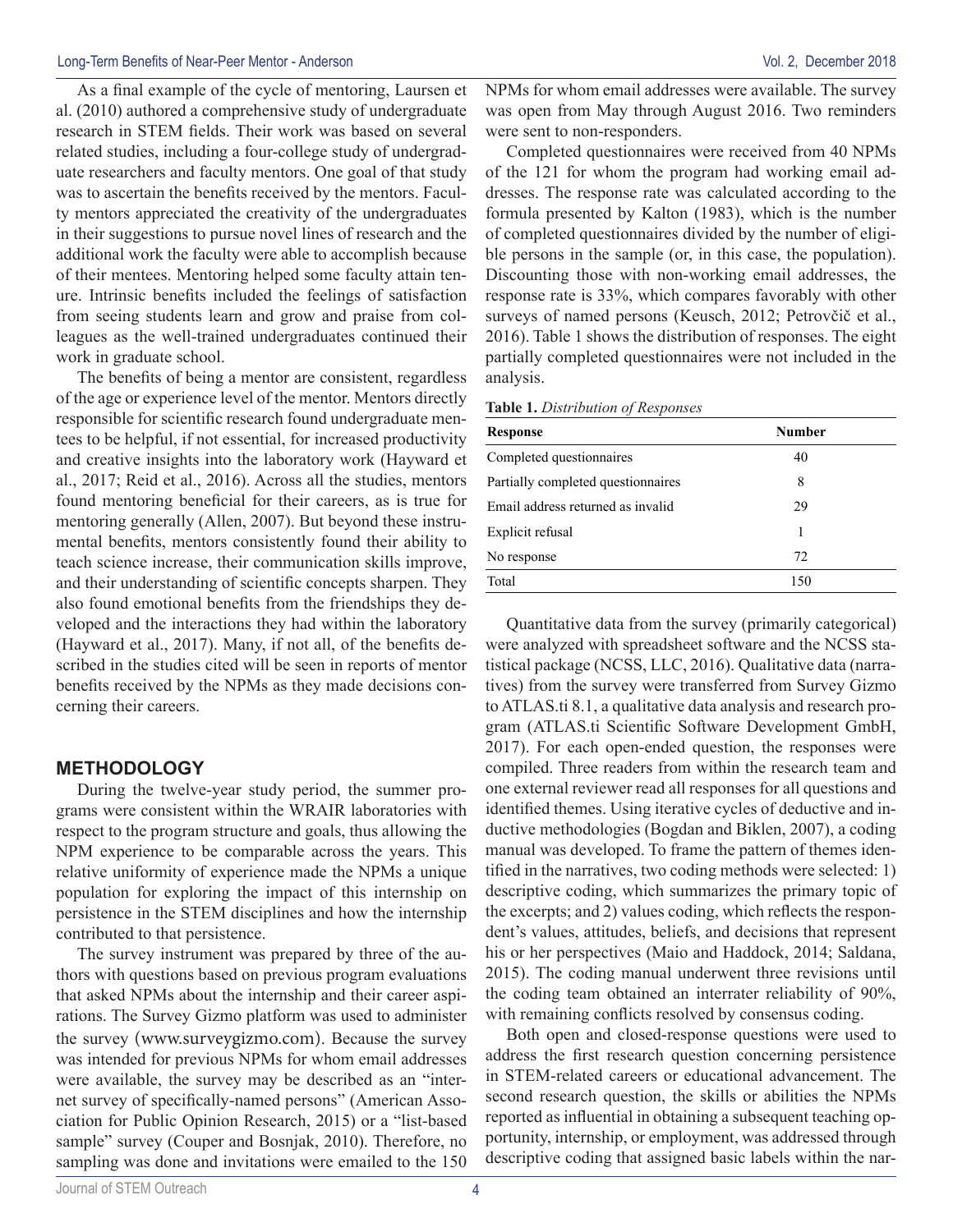As a final example of the cycle of mentoring, Laursen et al. (2010) authored a comprehensive study of undergraduate research in STEM fields. Their work was based on several related studies, including a four-college study of undergraduate researchers and faculty mentors. One goal of that study was to ascertain the benefits received by the mentors. Faculty mentors appreciated the creativity of the undergraduates in their suggestions to pursue novel lines of research and the additional work the faculty were able to accomplish because of their mentees. Mentoring helped some faculty attain tenure. Intrinsic benefits included the feelings of satisfaction from seeing students learn and grow and praise from colleagues as the well-trained undergraduates continued their work in graduate school.

The benefits of being a mentor are consistent, regardless of the age or experience level of the mentor. Mentors directly responsible for scientific research found undergraduate mentees to be helpful, if not essential, for increased productivity and creative insights into the laboratory work (Hayward et al., 2017; Reid et al., 2016). Across all the studies, mentors found mentoring beneficial for their careers, as is true for mentoring generally (Allen, 2007). But beyond these instrumental benefits, mentors consistently found their ability to teach science increase, their communication skills improve, and their understanding of scientific concepts sharpen. They also found emotional benefits from the friendships they developed and the interactions they had within the laboratory (Hayward et al., 2017). Many, if not all, of the benefits described in the studies cited will be seen in reports of mentor benefits received by the NPMs as they made decisions concerning their careers.

#### **METHODOLOGY**

During the twelve-year study period, the summer programs were consistent within the WRAIR laboratories with respect to the program structure and goals, thus allowing the NPM experience to be comparable across the years. This relative uniformity of experience made the NPMs a unique population for exploring the impact of this internship on persistence in the STEM disciplines and how the internship contributed to that persistence.

The survey instrument was prepared by three of the authors with questions based on previous program evaluations that asked NPMs about the internship and their career aspirations. The Survey Gizmo platform was used to administer the survey (www.surveygizmo.com). Because the survey was intended for previous NPMs for whom email addresses were available, the survey may be described as an "internet survey of specifically-named persons" (American Association for Public Opinion Research, 2015) or a "list-based sample" survey (Couper and Bosnjak, 2010). Therefore, no sampling was done and invitations were emailed to the 150 NPMs for whom email addresses were available. The survey was open from May through August 2016. Two reminders were sent to non-responders.

Completed questionnaires were received from 40 NPMs of the 121 for whom the program had working email addresses. The response rate was calculated according to the formula presented by Kalton (1983), which is the number of completed questionnaires divided by the number of eligible persons in the sample (or, in this case, the population). Discounting those with non-working email addresses, the response rate is 33%, which compares favorably with other surveys of named persons (Keusch, 2012; Petrovčič et al., 2016). Table 1 shows the distribution of responses. The eight partially completed questionnaires were not included in the analysis.

| Table 1. Distribution of Responses |  |  |  |
|------------------------------------|--|--|--|
|------------------------------------|--|--|--|

| Response                           | Number |  |
|------------------------------------|--------|--|
| Completed questionnaires           | 40     |  |
| Partially completed questionnaires | 8      |  |
| Email address returned as invalid  | 29     |  |
| Explicit refusal                   |        |  |
| No response                        | 72     |  |
| Total                              | 150    |  |

Quantitative data from the survey (primarily categorical) were analyzed with spreadsheet software and the NCSS statistical package (NCSS, LLC, 2016). Qualitative data (narratives) from the survey were transferred from Survey Gizmo to ATLAS.ti 8.1, a qualitative data analysis and research program (ATLAS.ti Scientific Software Development GmbH, 2017). For each open-ended question, the responses were compiled. Three readers from within the research team and one external reviewer read all responses for all questions and identified themes. Using iterative cycles of deductive and inductive methodologies (Bogdan and Biklen, 2007), a coding manual was developed. To frame the pattern of themes identified in the narratives, two coding methods were selected: 1) descriptive coding, which summarizes the primary topic of the excerpts; and 2) values coding, which reflects the respondent's values, attitudes, beliefs, and decisions that represent his or her perspectives (Maio and Haddock, 2014; Saldana, 2015). The coding manual underwent three revisions until the coding team obtained an interrater reliability of 90%, with remaining conflicts resolved by consensus coding.

Both open and closed-response questions were used to address the first research question concerning persistence in STEM-related careers or educational advancement. The second research question, the skills or abilities the NPMs reported as influential in obtaining a subsequent teaching opportunity, internship, or employment, was addressed through descriptive coding that assigned basic labels within the nar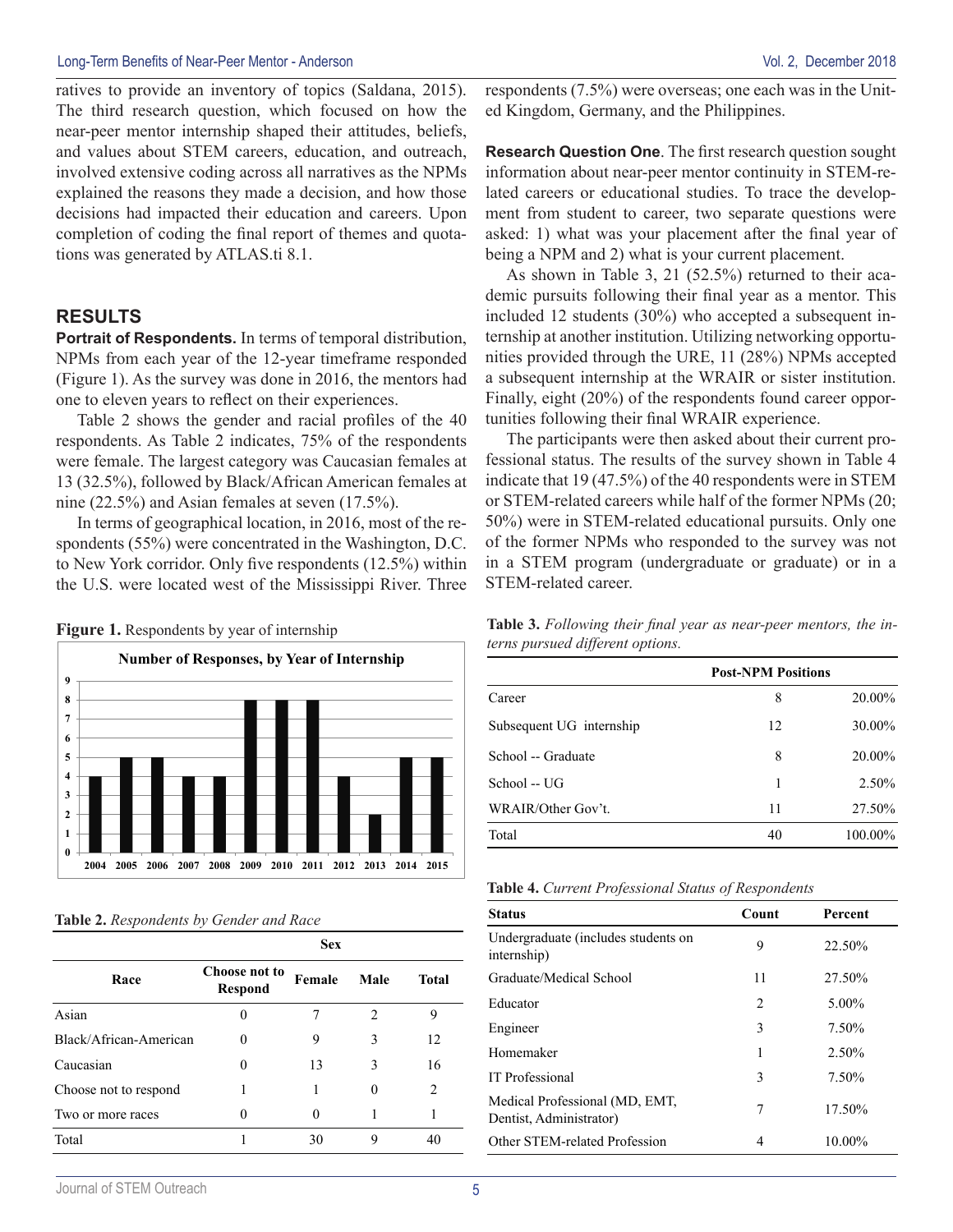ratives to provide an inventory of topics (Saldana, 2015). The third research question, which focused on how the near-peer mentor internship shaped their attitudes, beliefs, and values about STEM careers, education, and outreach, involved extensive coding across all narratives as the NPMs explained the reasons they made a decision, and how those decisions had impacted their education and careers. Upon completion of coding the final report of themes and quotations was generated by ATLAS.ti 8.1.

#### **RESULTS**

**Portrait of Respondents.** In terms of temporal distribution, NPMs from each year of the 12-year timeframe responded (Figure 1). As the survey was done in 2016, the mentors had one to eleven years to reflect on their experiences.

Table 2 shows the gender and racial profiles of the 40 respondents. As Table 2 indicates, 75% of the respondents were female. The largest category was Caucasian females at 13 (32.5%), followed by Black/African American females at nine (22.5%) and Asian females at seven (17.5%).

In terms of geographical location, in 2016, most of the respondents (55%) were concentrated in the Washington, D.C. to New York corridor. Only five respondents (12.5%) within the U.S. were located west of the Mississippi River. Three

|  | <b>Figure 1.</b> Respondents by year of internship |
|--|----------------------------------------------------|
|  |                                                    |



| Table 2. Respondents by Gender and Race |  |  |  |  |  |
|-----------------------------------------|--|--|--|--|--|
|-----------------------------------------|--|--|--|--|--|

|                        | <b>Sex</b>                      |        |      |                               |
|------------------------|---------------------------------|--------|------|-------------------------------|
| Race                   | Choose not to<br><b>Respond</b> | Female | Male | <b>Total</b>                  |
| Asian                  | 0                               |        | 2    | 9                             |
| Black/African-American | $\Omega$                        | 9      | 3    | 12                            |
| Caucasian              | 0                               | 13     | 3    | 16                            |
| Choose not to respond  |                                 |        |      | $\mathfrak{D}_{\mathfrak{p}}$ |
| Two or more races      | 0                               |        |      |                               |
| Total                  |                                 | 30     | 9    | 40                            |

respondents (7.5%) were overseas; one each was in the United Kingdom, Germany, and the Philippines.

**Research Question One**. The first research question sought information about near-peer mentor continuity in STEM-related careers or educational studies. To trace the development from student to career, two separate questions were asked: 1) what was your placement after the final year of being a NPM and 2) what is your current placement.

As shown in Table 3, 21 (52.5%) returned to their academic pursuits following their final year as a mentor. This included 12 students (30%) who accepted a subsequent internship at another institution. Utilizing networking opportunities provided through the URE, 11 (28%) NPMs accepted a subsequent internship at the WRAIR or sister institution. Finally, eight (20%) of the respondents found career opportunities following their final WRAIR experience.

The participants were then asked about their current professional status. The results of the survey shown in Table 4 indicate that 19 (47.5%) of the 40 respondents were in STEM or STEM-related careers while half of the former NPMs (20; 50%) were in STEM-related educational pursuits. Only one of the former NPMs who responded to the survey was not in a STEM program (undergraduate or graduate) or in a STEM-related career.

**Table 3.** *Following their final year as near-peer mentors, the interns pursued different options.* 

|                          | <b>Post-NPM Positions</b> |           |
|--------------------------|---------------------------|-----------|
| Career                   | 8                         | 20.00%    |
| Subsequent UG internship | 12                        | 30.00%    |
| School -- Graduate       | 8                         | $20.00\%$ |
| School -- UG             | 1                         | 2.50%     |
| WRAIR/Other Gov't.       | 11                        | 27.50%    |
| Total                    | 40                        | 100.00%   |

|  |  | <b>Table 4.</b> Current Professional Status of Respondents |  |  |  |
|--|--|------------------------------------------------------------|--|--|--|
|--|--|------------------------------------------------------------|--|--|--|

| <b>Status</b>                                             | Count          | Percent   |
|-----------------------------------------------------------|----------------|-----------|
| Undergraduate (includes students on<br>internship)        | 9              | 22.50%    |
| Graduate/Medical School                                   | 11             | 27.50%    |
| Educator                                                  | $\overline{2}$ | $5.00\%$  |
| Engineer                                                  | 3              | 7.50%     |
| Homemaker                                                 | 1              | 2.50%     |
| <b>IT</b> Professional                                    | 3              | 7.50%     |
| Medical Professional (MD, EMT,<br>Dentist, Administrator) | 7              | 17.50%    |
| Other STEM-related Profession                             | 4              | $10.00\%$ |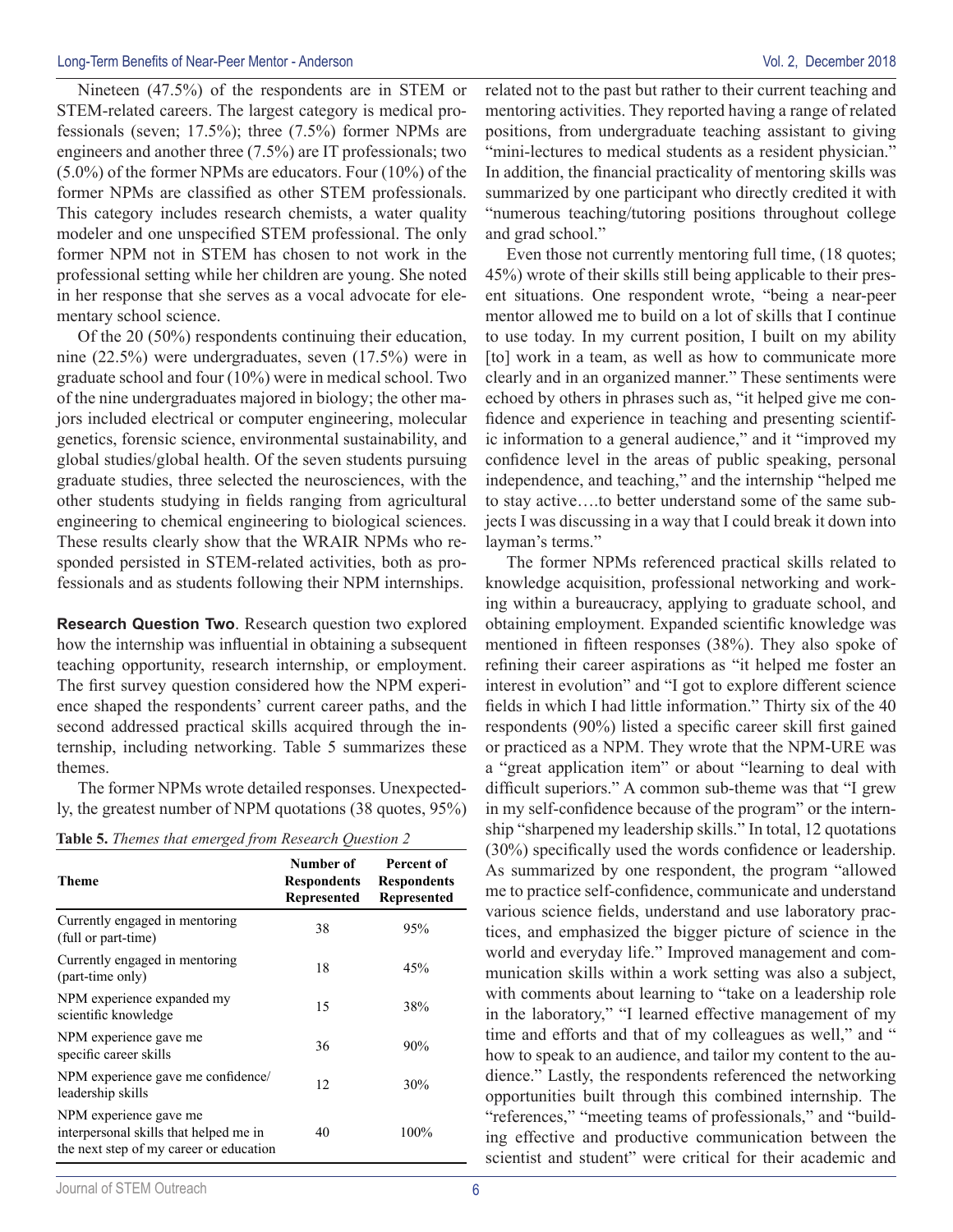Nineteen (47.5%) of the respondents are in STEM or STEM-related careers. The largest category is medical professionals (seven; 17.5%); three (7.5%) former NPMs are engineers and another three (7.5%) are IT professionals; two (5.0%) of the former NPMs are educators. Four (10%) of the former NPMs are classified as other STEM professionals. This category includes research chemists, a water quality modeler and one unspecified STEM professional. The only former NPM not in STEM has chosen to not work in the professional setting while her children are young. She noted in her response that she serves as a vocal advocate for elementary school science.

Of the 20 (50%) respondents continuing their education, nine (22.5%) were undergraduates, seven (17.5%) were in graduate school and four (10%) were in medical school. Two of the nine undergraduates majored in biology; the other majors included electrical or computer engineering, molecular genetics, forensic science, environmental sustainability, and global studies/global health. Of the seven students pursuing graduate studies, three selected the neurosciences, with the other students studying in fields ranging from agricultural engineering to chemical engineering to biological sciences. These results clearly show that the WRAIR NPMs who responded persisted in STEM-related activities, both as professionals and as students following their NPM internships.

**Research Question Two**. Research question two explored how the internship was influential in obtaining a subsequent teaching opportunity, research internship, or employment. The first survey question considered how the NPM experience shaped the respondents' current career paths, and the second addressed practical skills acquired through the internship, including networking. Table 5 summarizes these themes.

The former NPMs wrote detailed responses. Unexpectedly, the greatest number of NPM quotations (38 quotes, 95%)

| <b>Theme</b>                                                                                                | Number of<br><b>Respondents</b><br><b>Represented</b> | Percent of<br><b>Respondents</b><br>Represented |
|-------------------------------------------------------------------------------------------------------------|-------------------------------------------------------|-------------------------------------------------|
| Currently engaged in mentoring<br>(full or part-time)                                                       | 38                                                    | 95%                                             |
| Currently engaged in mentoring<br>(part-time only)                                                          | 18                                                    | 45%                                             |
| NPM experience expanded my<br>scientific knowledge                                                          | 15                                                    | 38%                                             |
| NPM experience gave me<br>specific career skills                                                            | 36                                                    | 90%                                             |
| NPM experience gave me confidence/<br>leadership skills                                                     | 12                                                    | 30%                                             |
| NPM experience gave me<br>interpersonal skills that helped me in<br>the next step of my career or education | 40                                                    | 100%                                            |

**Table 5.** *Themes that emerged from Research Question 2*

related not to the past but rather to their current teaching and mentoring activities. They reported having a range of related positions, from undergraduate teaching assistant to giving "mini-lectures to medical students as a resident physician." In addition, the financial practicality of mentoring skills was summarized by one participant who directly credited it with "numerous teaching/tutoring positions throughout college and grad school."

Even those not currently mentoring full time, (18 quotes; 45%) wrote of their skills still being applicable to their present situations. One respondent wrote, "being a near-peer mentor allowed me to build on a lot of skills that I continue to use today. In my current position, I built on my ability [to] work in a team, as well as how to communicate more clearly and in an organized manner." These sentiments were echoed by others in phrases such as, "it helped give me confidence and experience in teaching and presenting scientific information to a general audience," and it "improved my confidence level in the areas of public speaking, personal independence, and teaching," and the internship "helped me to stay active….to better understand some of the same subjects I was discussing in a way that I could break it down into layman's terms."

The former NPMs referenced practical skills related to knowledge acquisition, professional networking and working within a bureaucracy, applying to graduate school, and obtaining employment. Expanded scientific knowledge was mentioned in fifteen responses (38%). They also spoke of refining their career aspirations as "it helped me foster an interest in evolution" and "I got to explore different science fields in which I had little information." Thirty six of the 40 respondents (90%) listed a specific career skill first gained or practiced as a NPM. They wrote that the NPM-URE was a "great application item" or about "learning to deal with difficult superiors." A common sub-theme was that "I grew in my self-confidence because of the program" or the internship "sharpened my leadership skills." In total, 12 quotations (30%) specifically used the words confidence or leadership. As summarized by one respondent, the program "allowed me to practice self-confidence, communicate and understand various science fields, understand and use laboratory practices, and emphasized the bigger picture of science in the world and everyday life." Improved management and communication skills within a work setting was also a subject, with comments about learning to "take on a leadership role in the laboratory," "I learned effective management of my time and efforts and that of my colleagues as well," and " how to speak to an audience, and tailor my content to the audience." Lastly, the respondents referenced the networking opportunities built through this combined internship. The "references," "meeting teams of professionals," and "building effective and productive communication between the scientist and student" were critical for their academic and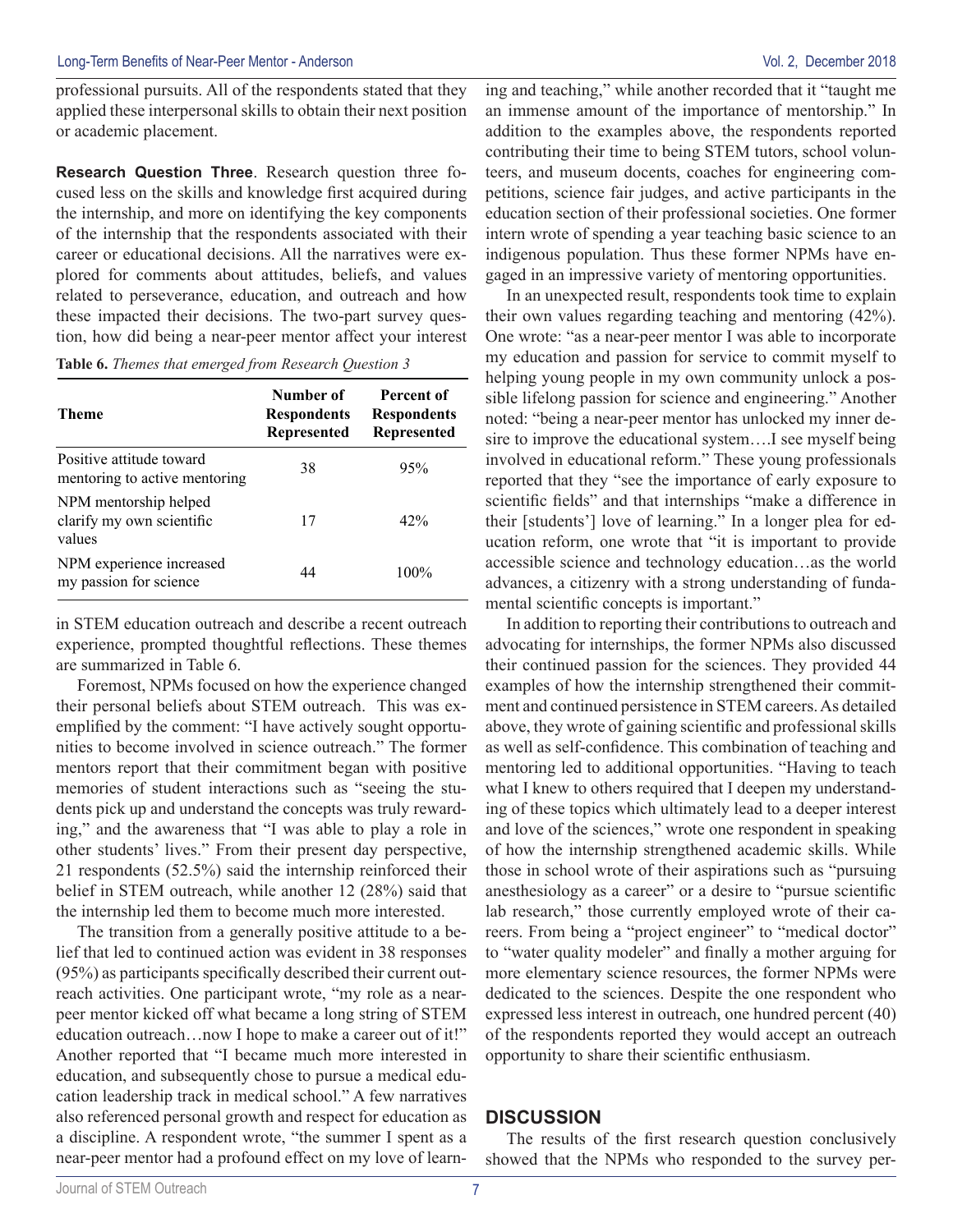professional pursuits. All of the respondents stated that they applied these interpersonal skills to obtain their next position or academic placement.

**Research Question Three**. Research question three focused less on the skills and knowledge first acquired during the internship, and more on identifying the key components of the internship that the respondents associated with their career or educational decisions. All the narratives were explored for comments about attitudes, beliefs, and values related to perseverance, education, and outreach and how these impacted their decisions. The two-part survey question, how did being a near-peer mentor affect your interest

**Table 6.** *Themes that emerged from Research Question 3*

| Theme                                                        | Number of<br><b>Respondents</b><br>Represented | Percent of<br><b>Respondents</b><br>Represented |
|--------------------------------------------------------------|------------------------------------------------|-------------------------------------------------|
| Positive attitude toward<br>mentoring to active mentoring    | 38                                             | 95%                                             |
| NPM mentorship helped<br>clarify my own scientific<br>values | 17                                             | 42%                                             |
| NPM experience increased<br>my passion for science           | 44                                             | $100\%$                                         |

in STEM education outreach and describe a recent outreach experience, prompted thoughtful reflections. These themes are summarized in Table 6.

Foremost, NPMs focused on how the experience changed their personal beliefs about STEM outreach. This was exemplified by the comment: "I have actively sought opportunities to become involved in science outreach." The former mentors report that their commitment began with positive memories of student interactions such as "seeing the students pick up and understand the concepts was truly rewarding," and the awareness that "I was able to play a role in other students' lives." From their present day perspective, 21 respondents (52.5%) said the internship reinforced their belief in STEM outreach, while another 12 (28%) said that the internship led them to become much more interested.

The transition from a generally positive attitude to a belief that led to continued action was evident in 38 responses (95%) as participants specifically described their current outreach activities. One participant wrote, "my role as a nearpeer mentor kicked off what became a long string of STEM education outreach…now I hope to make a career out of it!" Another reported that "I became much more interested in education, and subsequently chose to pursue a medical education leadership track in medical school." A few narratives also referenced personal growth and respect for education as a discipline. A respondent wrote, "the summer I spent as a near-peer mentor had a profound effect on my love of learn-

ing and teaching," while another recorded that it "taught me an immense amount of the importance of mentorship." In addition to the examples above, the respondents reported contributing their time to being STEM tutors, school volunteers, and museum docents, coaches for engineering competitions, science fair judges, and active participants in the education section of their professional societies. One former intern wrote of spending a year teaching basic science to an indigenous population. Thus these former NPMs have engaged in an impressive variety of mentoring opportunities.

In an unexpected result, respondents took time to explain their own values regarding teaching and mentoring (42%). One wrote: "as a near-peer mentor I was able to incorporate my education and passion for service to commit myself to helping young people in my own community unlock a possible lifelong passion for science and engineering." Another noted: "being a near-peer mentor has unlocked my inner desire to improve the educational system….I see myself being involved in educational reform." These young professionals reported that they "see the importance of early exposure to scientific fields" and that internships "make a difference in their [students'] love of learning." In a longer plea for education reform, one wrote that "it is important to provide accessible science and technology education…as the world advances, a citizenry with a strong understanding of fundamental scientific concepts is important."

In addition to reporting their contributions to outreach and advocating for internships, the former NPMs also discussed their continued passion for the sciences. They provided 44 examples of how the internship strengthened their commitment and continued persistence in STEM careers. As detailed above, they wrote of gaining scientific and professional skills as well as self-confidence. This combination of teaching and mentoring led to additional opportunities. "Having to teach what I knew to others required that I deepen my understanding of these topics which ultimately lead to a deeper interest and love of the sciences," wrote one respondent in speaking of how the internship strengthened academic skills. While those in school wrote of their aspirations such as "pursuing anesthesiology as a career" or a desire to "pursue scientific lab research," those currently employed wrote of their careers. From being a "project engineer" to "medical doctor" to "water quality modeler" and finally a mother arguing for more elementary science resources, the former NPMs were dedicated to the sciences. Despite the one respondent who expressed less interest in outreach, one hundred percent (40) of the respondents reported they would accept an outreach opportunity to share their scientific enthusiasm.

#### **DISCUSSION**

The results of the first research question conclusively showed that the NPMs who responded to the survey per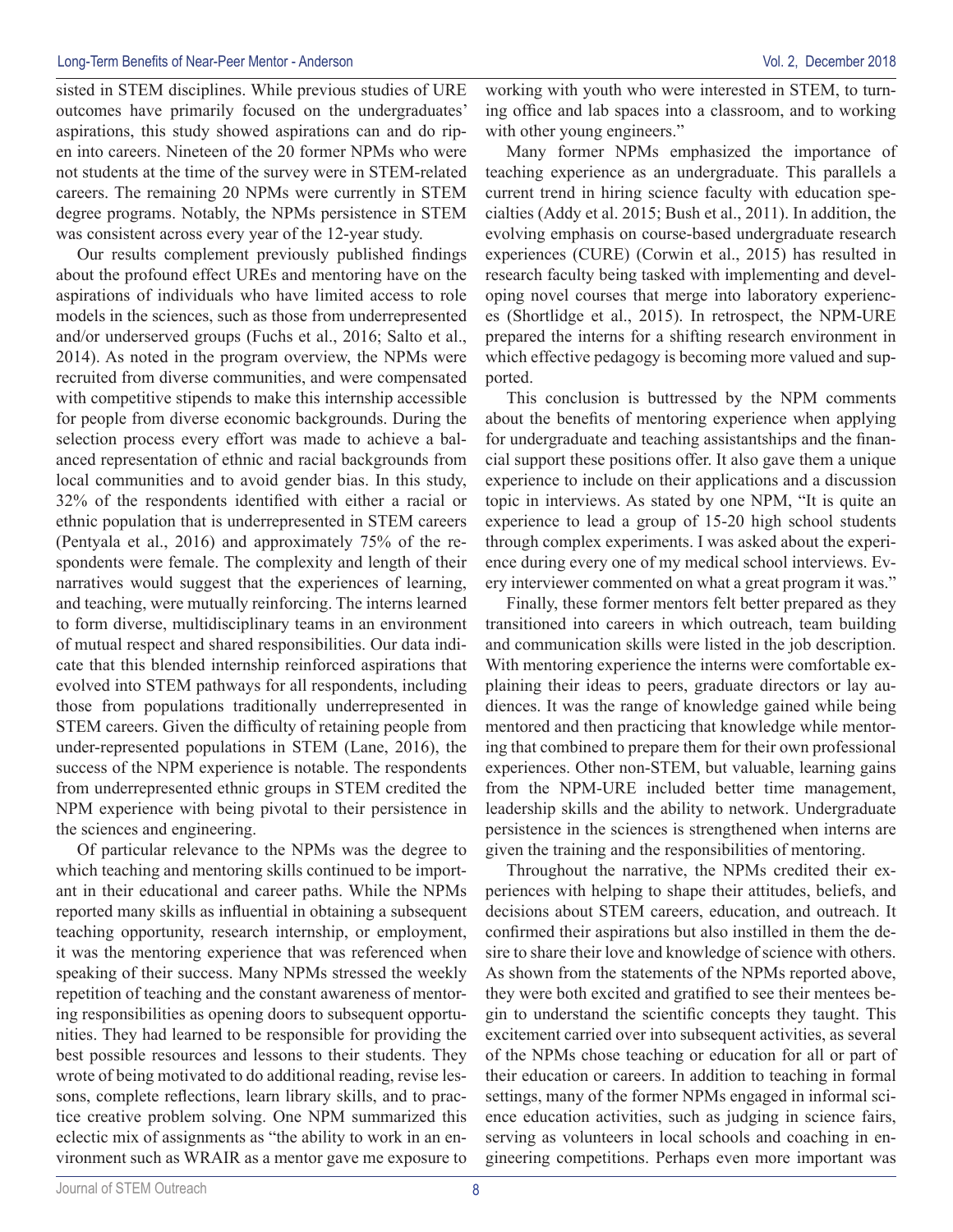sisted in STEM disciplines. While previous studies of URE outcomes have primarily focused on the undergraduates' aspirations, this study showed aspirations can and do ripen into careers. Nineteen of the 20 former NPMs who were not students at the time of the survey were in STEM-related careers. The remaining 20 NPMs were currently in STEM degree programs. Notably, the NPMs persistence in STEM was consistent across every year of the 12-year study.

Our results complement previously published findings about the profound effect UREs and mentoring have on the aspirations of individuals who have limited access to role models in the sciences, such as those from underrepresented and/or underserved groups (Fuchs et al., 2016; Salto et al., 2014). As noted in the program overview, the NPMs were recruited from diverse communities, and were compensated with competitive stipends to make this internship accessible for people from diverse economic backgrounds. During the selection process every effort was made to achieve a balanced representation of ethnic and racial backgrounds from local communities and to avoid gender bias. In this study, 32% of the respondents identified with either a racial or ethnic population that is underrepresented in STEM careers (Pentyala et al., 2016) and approximately 75% of the respondents were female. The complexity and length of their narratives would suggest that the experiences of learning, and teaching, were mutually reinforcing. The interns learned to form diverse, multidisciplinary teams in an environment of mutual respect and shared responsibilities. Our data indicate that this blended internship reinforced aspirations that evolved into STEM pathways for all respondents, including those from populations traditionally underrepresented in STEM careers. Given the difficulty of retaining people from under-represented populations in STEM (Lane, 2016), the success of the NPM experience is notable. The respondents from underrepresented ethnic groups in STEM credited the NPM experience with being pivotal to their persistence in the sciences and engineering.

Of particular relevance to the NPMs was the degree to which teaching and mentoring skills continued to be important in their educational and career paths. While the NPMs reported many skills as influential in obtaining a subsequent teaching opportunity, research internship, or employment, it was the mentoring experience that was referenced when speaking of their success. Many NPMs stressed the weekly repetition of teaching and the constant awareness of mentoring responsibilities as opening doors to subsequent opportunities. They had learned to be responsible for providing the best possible resources and lessons to their students. They wrote of being motivated to do additional reading, revise lessons, complete reflections, learn library skills, and to practice creative problem solving. One NPM summarized this eclectic mix of assignments as "the ability to work in an environment such as WRAIR as a mentor gave me exposure to working with youth who were interested in STEM, to turning office and lab spaces into a classroom, and to working with other young engineers."

Many former NPMs emphasized the importance of teaching experience as an undergraduate. This parallels a current trend in hiring science faculty with education specialties (Addy et al. 2015; Bush et al., 2011). In addition, the evolving emphasis on course-based undergraduate research experiences (CURE) (Corwin et al., 2015) has resulted in research faculty being tasked with implementing and developing novel courses that merge into laboratory experiences (Shortlidge et al., 2015). In retrospect, the NPM-URE prepared the interns for a shifting research environment in which effective pedagogy is becoming more valued and supported.

This conclusion is buttressed by the NPM comments about the benefits of mentoring experience when applying for undergraduate and teaching assistantships and the financial support these positions offer. It also gave them a unique experience to include on their applications and a discussion topic in interviews. As stated by one NPM, "It is quite an experience to lead a group of 15-20 high school students through complex experiments. I was asked about the experience during every one of my medical school interviews. Every interviewer commented on what a great program it was."

Finally, these former mentors felt better prepared as they transitioned into careers in which outreach, team building and communication skills were listed in the job description. With mentoring experience the interns were comfortable explaining their ideas to peers, graduate directors or lay audiences. It was the range of knowledge gained while being mentored and then practicing that knowledge while mentoring that combined to prepare them for their own professional experiences. Other non-STEM, but valuable, learning gains from the NPM-URE included better time management, leadership skills and the ability to network. Undergraduate persistence in the sciences is strengthened when interns are given the training and the responsibilities of mentoring.

Throughout the narrative, the NPMs credited their experiences with helping to shape their attitudes, beliefs, and decisions about STEM careers, education, and outreach. It confirmed their aspirations but also instilled in them the desire to share their love and knowledge of science with others. As shown from the statements of the NPMs reported above, they were both excited and gratified to see their mentees begin to understand the scientific concepts they taught. This excitement carried over into subsequent activities, as several of the NPMs chose teaching or education for all or part of their education or careers. In addition to teaching in formal settings, many of the former NPMs engaged in informal science education activities, such as judging in science fairs, serving as volunteers in local schools and coaching in engineering competitions. Perhaps even more important was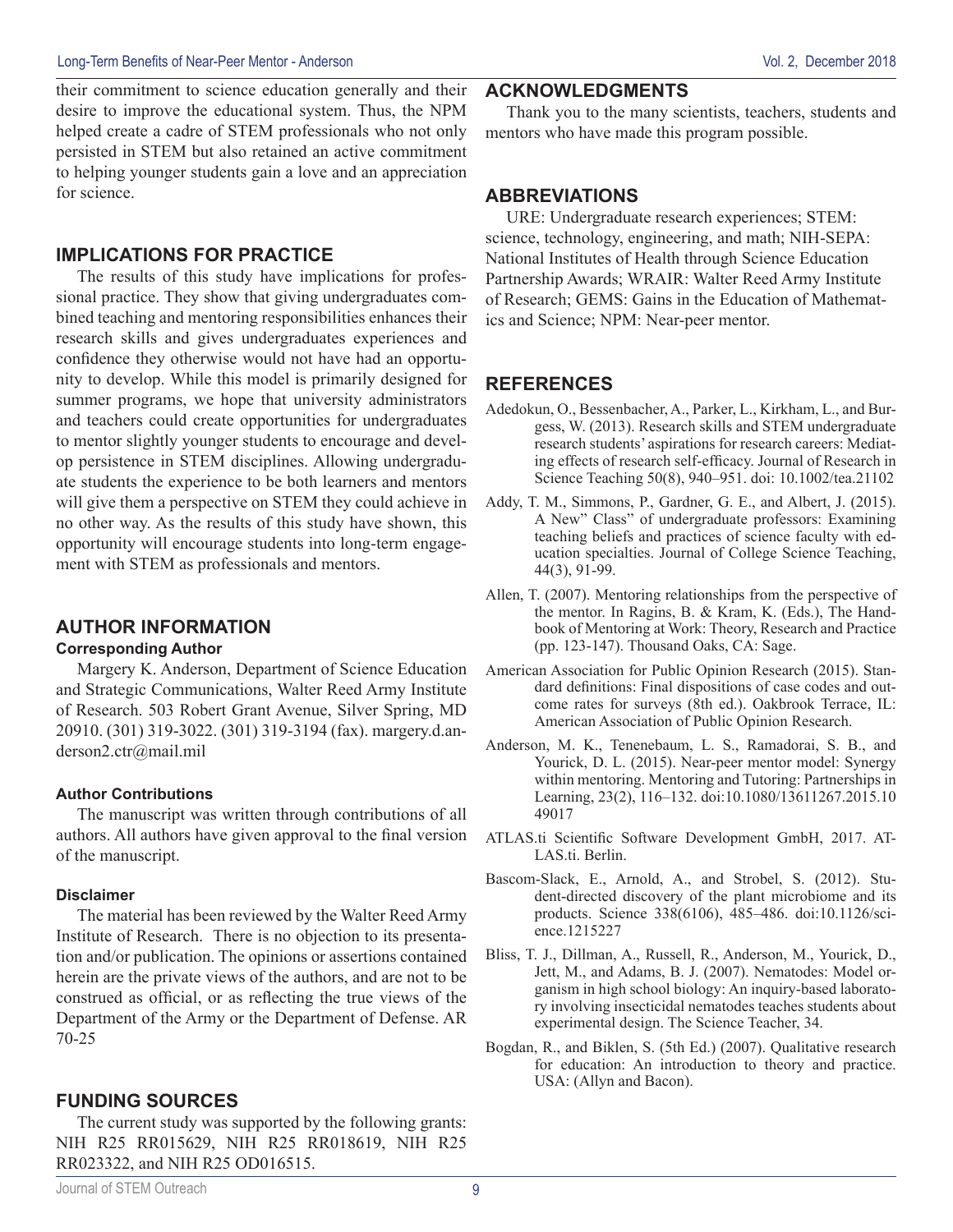their commitment to science education generally and their desire to improve the educational system. Thus, the NPM helped create a cadre of STEM professionals who not only persisted in STEM but also retained an active commitment to helping younger students gain a love and an appreciation for science.

### **IMPLICATIONS FOR PRACTICE**

The results of this study have implications for professional practice. They show that giving undergraduates combined teaching and mentoring responsibilities enhances their research skills and gives undergraduates experiences and confidence they otherwise would not have had an opportunity to develop. While this model is primarily designed for summer programs, we hope that university administrators and teachers could create opportunities for undergraduates to mentor slightly younger students to encourage and develop persistence in STEM disciplines. Allowing undergraduate students the experience to be both learners and mentors will give them a perspective on STEM they could achieve in no other way. As the results of this study have shown, this opportunity will encourage students into long-term engagement with STEM as professionals and mentors.

## **AUTHOR INFORMATION**

#### **Corresponding Author**

Margery K. Anderson, Department of Science Education and Strategic Communications, Walter Reed Army Institute of Research. 503 Robert Grant Avenue, Silver Spring, MD 20910. (301) 319-3022. (301) 319-3194 (fax). margery.d.anderson2.ctr@mail.mil

#### **Author Contributions**

The manuscript was written through contributions of all authors. All authors have given approval to the final version of the manuscript.

#### **Disclaimer**

The material has been reviewed by the Walter Reed Army Institute of Research. There is no objection to its presentation and/or publication. The opinions or assertions contained herein are the private views of the authors, and are not to be construed as official, or as reflecting the true views of the Department of the Army or the Department of Defense. AR 70-25

## **FUNDING SOURCES**

The current study was supported by the following grants: NIH R25 RR015629, NIH R25 RR018619, NIH R25 RR023322, and NIH R25 OD016515.

#### **ACKNOWLEDGMENTS**

Thank you to the many scientists, teachers, students and mentors who have made this program possible.

#### **ABBREVIATIONS**

URE: Undergraduate research experiences; STEM: science, technology, engineering, and math; NIH-SEPA: National Institutes of Health through Science Education Partnership Awards; WRAIR: Walter Reed Army Institute of Research; GEMS: Gains in the Education of Mathematics and Science; NPM: Near-peer mentor.

## **REFERENCES**

- Adedokun, O., Bessenbacher, A., Parker, L., Kirkham, L., and Burgess, W. (2013). Research skills and STEM undergraduate research students' aspirations for research careers: Mediating effects of research self-efficacy. Journal of Research in Science Teaching 50(8), 940–951. doi: 10.1002/tea.21102
- Addy, T. M., Simmons, P., Gardner, G. E., and Albert, J. (2015). A New" Class" of undergraduate professors: Examining teaching beliefs and practices of science faculty with education specialties. Journal of College Science Teaching, 44(3), 91-99.
- Allen, T. (2007). Mentoring relationships from the perspective of the mentor. In Ragins, B. & Kram, K. (Eds.), The Handbook of Mentoring at Work: Theory, Research and Practice (pp. 123-147). Thousand Oaks, CA: Sage.
- American Association for Public Opinion Research (2015). Standard definitions: Final dispositions of case codes and outcome rates for surveys (8th ed.). Oakbrook Terrace, IL: American Association of Public Opinion Research.
- Anderson, M. K., Tenenebaum, L. S., Ramadorai, S. B., and Yourick, D. L. (2015). Near-peer mentor model: Synergy within mentoring. Mentoring and Tutoring: Partnerships in Learning, 23(2), 116–132. doi:10.1080/13611267.2015.10 49017
- ATLAS.ti Scientific Software Development GmbH, 2017. AT-LAS.ti. Berlin.
- Bascom-Slack, E., Arnold, A., and Strobel, S. (2012). Student-directed discovery of the plant microbiome and its products. Science 338(6106), 485–486. doi:10.1126/science.1215227
- Bliss, T. J., Dillman, A., Russell, R., Anderson, M., Yourick, D., Jett, M., and Adams, B. J. (2007). Nematodes: Model organism in high school biology: An inquiry-based laboratory involving insecticidal nematodes teaches students about experimental design. The Science Teacher, 34.
- Bogdan, R., and Biklen, S. (5th Ed.) (2007). Qualitative research for education: An introduction to theory and practice. USA: (Allyn and Bacon).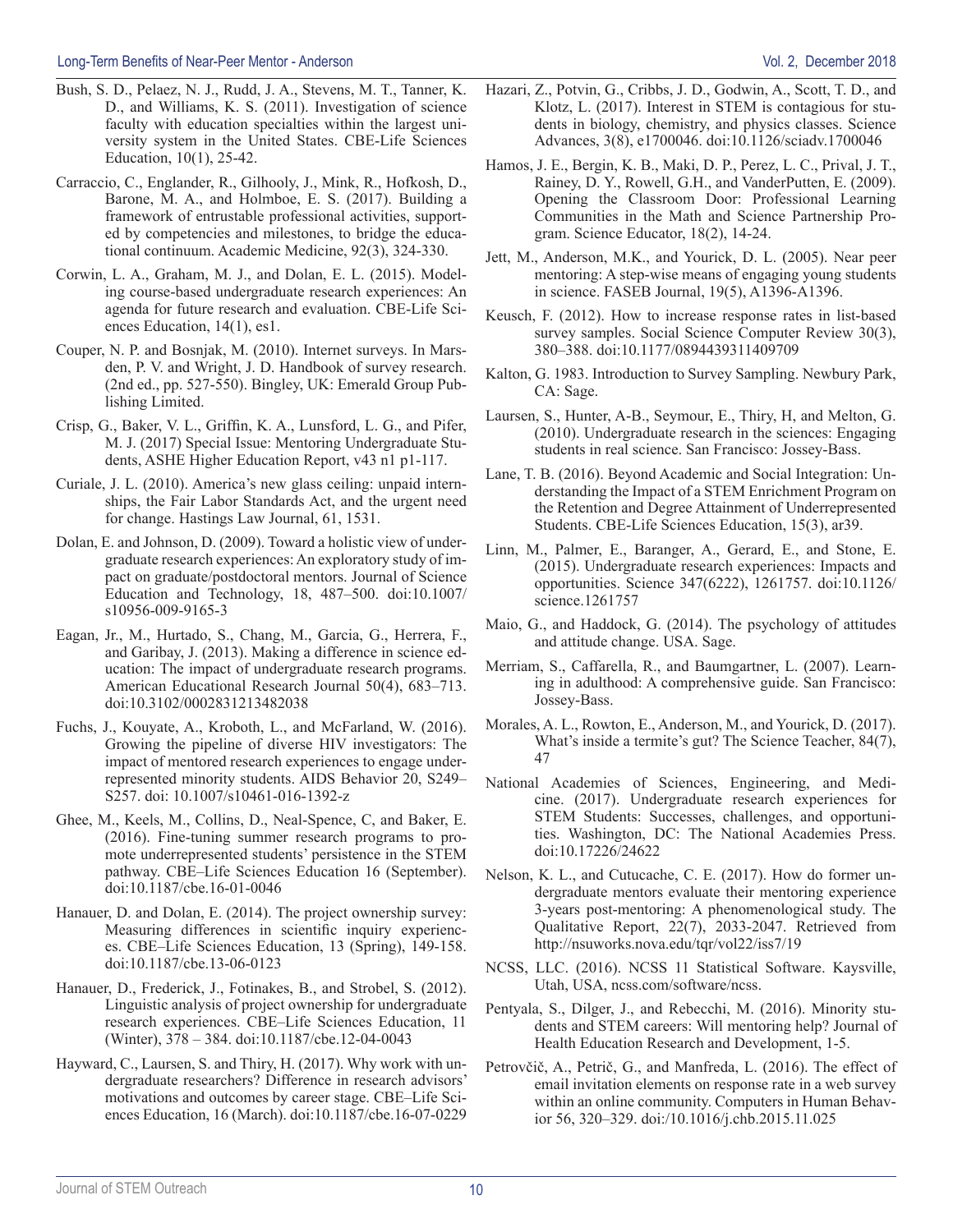- Bush, S. D., Pelaez, N. J., Rudd, J. A., Stevens, M. T., Tanner, K. D., and Williams, K. S. (2011). Investigation of science faculty with education specialties within the largest university system in the United States. CBE-Life Sciences Education, 10(1), 25-42.
- Carraccio, C., Englander, R., Gilhooly, J., Mink, R., Hofkosh, D., Barone, M. A., and Holmboe, E. S. (2017). Building a framework of entrustable professional activities, supported by competencies and milestones, to bridge the educational continuum. Academic Medicine, 92(3), 324-330.
- Corwin, L. A., Graham, M. J., and Dolan, E. L. (2015). Modeling course-based undergraduate research experiences: An agenda for future research and evaluation. CBE-Life Sciences Education, 14(1), es1.
- Couper, N. P. and Bosnjak, M. (2010). Internet surveys. In Marsden, P. V. and Wright, J. D. Handbook of survey research. (2nd ed., pp. 527-550). Bingley, UK: Emerald Group Publishing Limited.
- Crisp, G., Baker, V. L., Griffin, K. A., Lunsford, L. G., and Pifer, M. J. (2017) Special Issue: Mentoring Undergraduate Students, ASHE Higher Education Report, v43 n1 p1-117.
- Curiale, J. L. (2010). America's new glass ceiling: unpaid internships, the Fair Labor Standards Act, and the urgent need for change. Hastings Law Journal, 61, 1531.
- Dolan, E. and Johnson, D. (2009). Toward a holistic view of undergraduate research experiences: An exploratory study of impact on graduate/postdoctoral mentors. Journal of Science Education and Technology, 18, 487–500. doi:10.1007/ s10956-009-9165-3
- Eagan, Jr., M., Hurtado, S., Chang, M., Garcia, G., Herrera, F., and Garibay, J. (2013). Making a difference in science education: The impact of undergraduate research programs. American Educational Research Journal 50(4), 683–713. doi:10.3102/0002831213482038
- Fuchs, J., Kouyate, A., Kroboth, L., and McFarland, W. (2016). Growing the pipeline of diverse HIV investigators: The impact of mentored research experiences to engage underrepresented minority students. AIDS Behavior 20, S249– S257. doi: 10.1007/s10461-016-1392-z
- Ghee, M., Keels, M., Collins, D., Neal-Spence, C, and Baker, E. (2016). Fine-tuning summer research programs to promote underrepresented students' persistence in the STEM pathway. CBE–Life Sciences Education 16 (September). doi:10.1187/cbe.16-01-0046
- Hanauer, D. and Dolan, E. (2014). The project ownership survey: Measuring differences in scientific inquiry experiences. CBE–Life Sciences Education, 13 (Spring), 149-158. doi:10.1187/cbe.13-06-0123
- Hanauer, D., Frederick, J., Fotinakes, B., and Strobel, S. (2012). Linguistic analysis of project ownership for undergraduate research experiences. CBE–Life Sciences Education, 11 (Winter), 378 – 384. doi:10.1187/cbe.12-04-0043
- Hayward, C., Laursen, S. and Thiry, H. (2017). Why work with undergraduate researchers? Difference in research advisors' motivations and outcomes by career stage. CBE–Life Sciences Education, 16 (March). doi:10.1187/cbe.16-07-0229
- Hazari, Z., Potvin, G., Cribbs, J. D., Godwin, A., Scott, T. D., and Klotz, L. (2017). Interest in STEM is contagious for students in biology, chemistry, and physics classes. Science Advances, 3(8), e1700046. doi:10.1126/sciadv.1700046
- Hamos, J. E., Bergin, K. B., Maki, D. P., Perez, L. C., Prival, J. T., Rainey, D. Y., Rowell, G.H., and VanderPutten, E. (2009). Opening the Classroom Door: Professional Learning Communities in the Math and Science Partnership Program. Science Educator, 18(2), 14-24.
- Jett, M., Anderson, M.K., and Yourick, D. L. (2005). Near peer mentoring: A step-wise means of engaging young students in science. FASEB Journal, 19(5), A1396-A1396.
- Keusch, F. (2012). How to increase response rates in list-based survey samples. Social Science Computer Review 30(3), 380–388. doi:10.1177/0894439311409709
- Kalton, G. 1983. Introduction to Survey Sampling. Newbury Park, CA: Sage.
- Laursen, S., Hunter, A-B., Seymour, E., Thiry, H, and Melton, G. (2010). Undergraduate research in the sciences: Engaging students in real science. San Francisco: Jossey-Bass.
- Lane, T. B. (2016). Beyond Academic and Social Integration: Understanding the Impact of a STEM Enrichment Program on the Retention and Degree Attainment of Underrepresented Students. CBE-Life Sciences Education, 15(3), ar39.
- Linn, M., Palmer, E., Baranger, A., Gerard, E., and Stone, E. (2015). Undergraduate research experiences: Impacts and opportunities. Science 347(6222), 1261757. doi:10.1126/ science.1261757
- Maio, G., and Haddock, G. (2014). The psychology of attitudes and attitude change. USA. Sage.
- Merriam, S., Caffarella, R., and Baumgartner, L. (2007). Learning in adulthood: A comprehensive guide. San Francisco: Jossey-Bass.
- Morales, A. L., Rowton, E., Anderson, M., and Yourick, D. (2017). What's inside a termite's gut? The Science Teacher, 84(7), 47
- National Academies of Sciences, Engineering, and Medicine. (2017). Undergraduate research experiences for STEM Students: Successes, challenges, and opportunities. Washington, DC: The National Academies Press. doi:10.17226/24622
- Nelson, K. L., and Cutucache, C. E. (2017). How do former undergraduate mentors evaluate their mentoring experience 3-years post-mentoring: A phenomenological study. The Qualitative Report, 22(7), 2033-2047. Retrieved from http://nsuworks.nova.edu/tqr/vol22/iss7/19
- NCSS, LLC. (2016). NCSS 11 Statistical Software. Kaysville, Utah, USA, ncss.com/software/ncss.
- Pentyala, S., Dilger, J., and Rebecchi, M. (2016). Minority students and STEM careers: Will mentoring help? Journal of Health Education Research and Development, 1-5.
- Petrovčič, A., Petrič, G., and Manfreda, L. (2016). The effect of email invitation elements on response rate in a web survey within an online community. Computers in Human Behavior 56, 320–329. doi:/10.1016/j.chb.2015.11.025